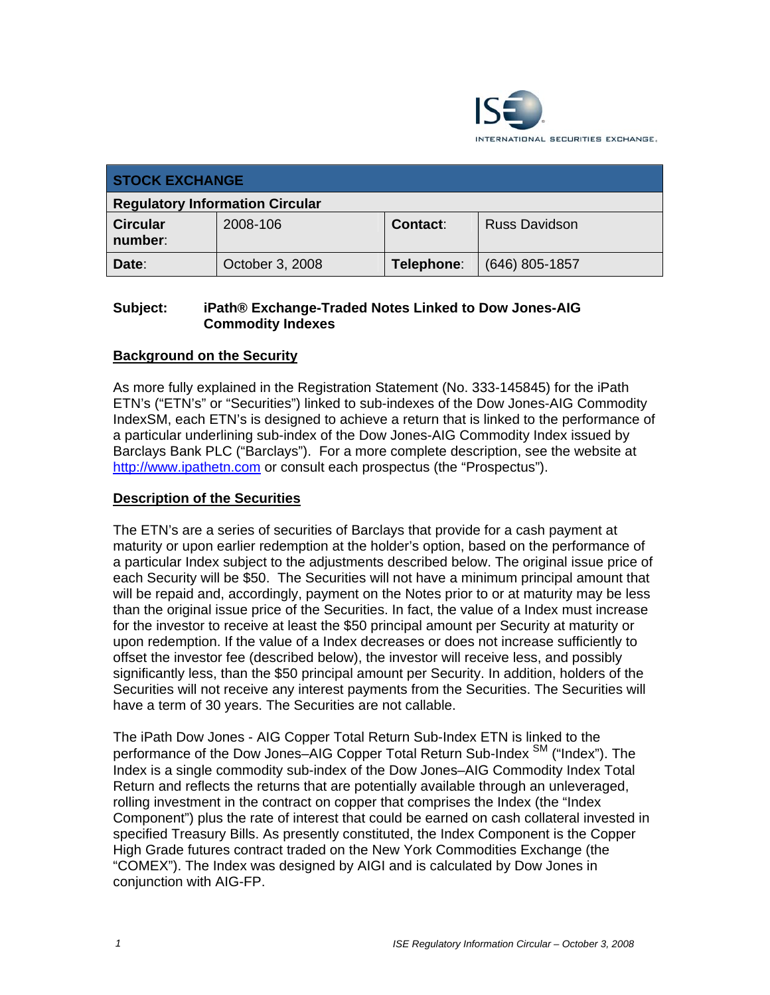

| <b>STOCK EXCHANGE</b>                  |                 |            |                      |  |
|----------------------------------------|-----------------|------------|----------------------|--|
| <b>Regulatory Information Circular</b> |                 |            |                      |  |
| <b>Circular</b><br>number:             | 2008-106        | Contact:   | <b>Russ Davidson</b> |  |
| Date:                                  | October 3, 2008 | Telephone: | (646) 805-1857       |  |

### **Subject: iPath® Exchange-Traded Notes Linked to Dow Jones-AIG Commodity Indexes**

# **Background on the Security**

As more fully explained in the Registration Statement (No. 333-145845) for the iPath ETN's ("ETN's" or "Securities") linked to sub-indexes of the Dow Jones-AIG Commodity IndexSM, each ETN's is designed to achieve a return that is linked to the performance of a particular underlining sub-index of the Dow Jones-AIG Commodity Index issued by Barclays Bank PLC ("Barclays"). For a more complete description, see the website at http://www.ipathetn.com or consult each prospectus (the "Prospectus").

#### **Description of the Securities**

The ETN's are a series of securities of Barclays that provide for a cash payment at maturity or upon earlier redemption at the holder's option, based on the performance of a particular Index subject to the adjustments described below. The original issue price of each Security will be \$50. The Securities will not have a minimum principal amount that will be repaid and, accordingly, payment on the Notes prior to or at maturity may be less than the original issue price of the Securities. In fact, the value of a Index must increase for the investor to receive at least the \$50 principal amount per Security at maturity or upon redemption. If the value of a Index decreases or does not increase sufficiently to offset the investor fee (described below), the investor will receive less, and possibly significantly less, than the \$50 principal amount per Security. In addition, holders of the Securities will not receive any interest payments from the Securities. The Securities will have a term of 30 years. The Securities are not callable.

The iPath Dow Jones - AIG Copper Total Return Sub-Index ETN is linked to the performance of the Dow Jones–AIG Copper Total Return Sub-Index<sup>SM</sup> ("Index"). The Index is a single commodity sub-index of the Dow Jones–AIG Commodity Index Total Return and reflects the returns that are potentially available through an unleveraged, rolling investment in the contract on copper that comprises the Index (the "Index Component") plus the rate of interest that could be earned on cash collateral invested in specified Treasury Bills. As presently constituted, the Index Component is the Copper High Grade futures contract traded on the New York Commodities Exchange (the "COMEX"). The Index was designed by AIGI and is calculated by Dow Jones in conjunction with AIG-FP.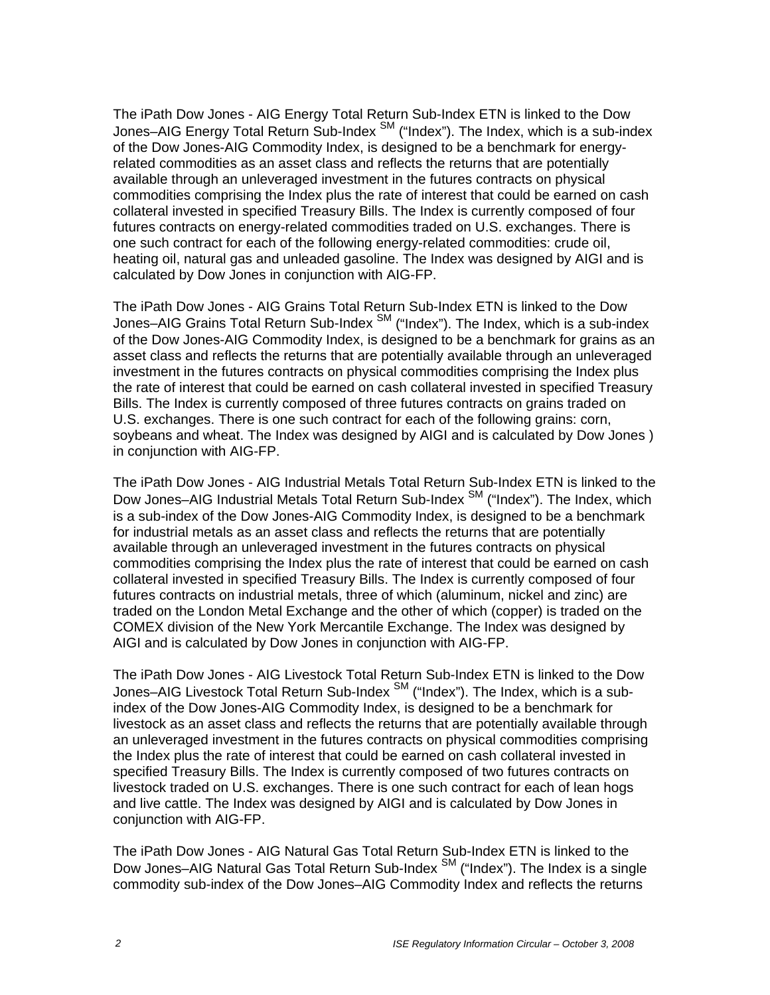The iPath Dow Jones - AIG Energy Total Return Sub-Index ETN is linked to the Dow Jones–AIG Energy Total Return Sub-Index SM ("Index"). The Index, which is a sub-index of the Dow Jones-AIG Commodity Index, is designed to be a benchmark for energyrelated commodities as an asset class and reflects the returns that are potentially available through an unleveraged investment in the futures contracts on physical commodities comprising the Index plus the rate of interest that could be earned on cash collateral invested in specified Treasury Bills. The Index is currently composed of four futures contracts on energy-related commodities traded on U.S. exchanges. There is one such contract for each of the following energy-related commodities: crude oil, heating oil, natural gas and unleaded gasoline. The Index was designed by AIGI and is calculated by Dow Jones in conjunction with AIG-FP.

The iPath Dow Jones - AIG Grains Total Return Sub-Index ETN is linked to the Dow Jones–AIG Grains Total Return Sub-Index SM ("Index"). The Index, which is a sub-index of the Dow Jones-AIG Commodity Index, is designed to be a benchmark for grains as an asset class and reflects the returns that are potentially available through an unleveraged investment in the futures contracts on physical commodities comprising the Index plus the rate of interest that could be earned on cash collateral invested in specified Treasury Bills. The Index is currently composed of three futures contracts on grains traded on U.S. exchanges. There is one such contract for each of the following grains: corn, soybeans and wheat. The Index was designed by AIGI and is calculated by Dow Jones ) in conjunction with AIG-FP.

The iPath Dow Jones - AIG Industrial Metals Total Return Sub-Index ETN is linked to the Dow Jones–AIG Industrial Metals Total Return Sub-Index<sup>SM</sup> ("Index"). The Index, which is a sub-index of the Dow Jones-AIG Commodity Index, is designed to be a benchmark for industrial metals as an asset class and reflects the returns that are potentially available through an unleveraged investment in the futures contracts on physical commodities comprising the Index plus the rate of interest that could be earned on cash collateral invested in specified Treasury Bills. The Index is currently composed of four futures contracts on industrial metals, three of which (aluminum, nickel and zinc) are traded on the London Metal Exchange and the other of which (copper) is traded on the COMEX division of the New York Mercantile Exchange. The Index was designed by AIGI and is calculated by Dow Jones in conjunction with AIG-FP.

The iPath Dow Jones - AIG Livestock Total Return Sub-Index ETN is linked to the Dow Jones–AIG Livestock Total Return Sub-Index<sup>SM</sup> ("Index"). The Index, which is a subindex of the Dow Jones-AIG Commodity Index, is designed to be a benchmark for livestock as an asset class and reflects the returns that are potentially available through an unleveraged investment in the futures contracts on physical commodities comprising the Index plus the rate of interest that could be earned on cash collateral invested in specified Treasury Bills. The Index is currently composed of two futures contracts on livestock traded on U.S. exchanges. There is one such contract for each of lean hogs and live cattle. The Index was designed by AIGI and is calculated by Dow Jones in conjunction with AIG-FP.

The iPath Dow Jones - AIG Natural Gas Total Return Sub-Index ETN is linked to the Dow Jones–AIG Natural Gas Total Return Sub-Index SM ("Index"). The Index is a single commodity sub-index of the Dow Jones–AIG Commodity Index and reflects the returns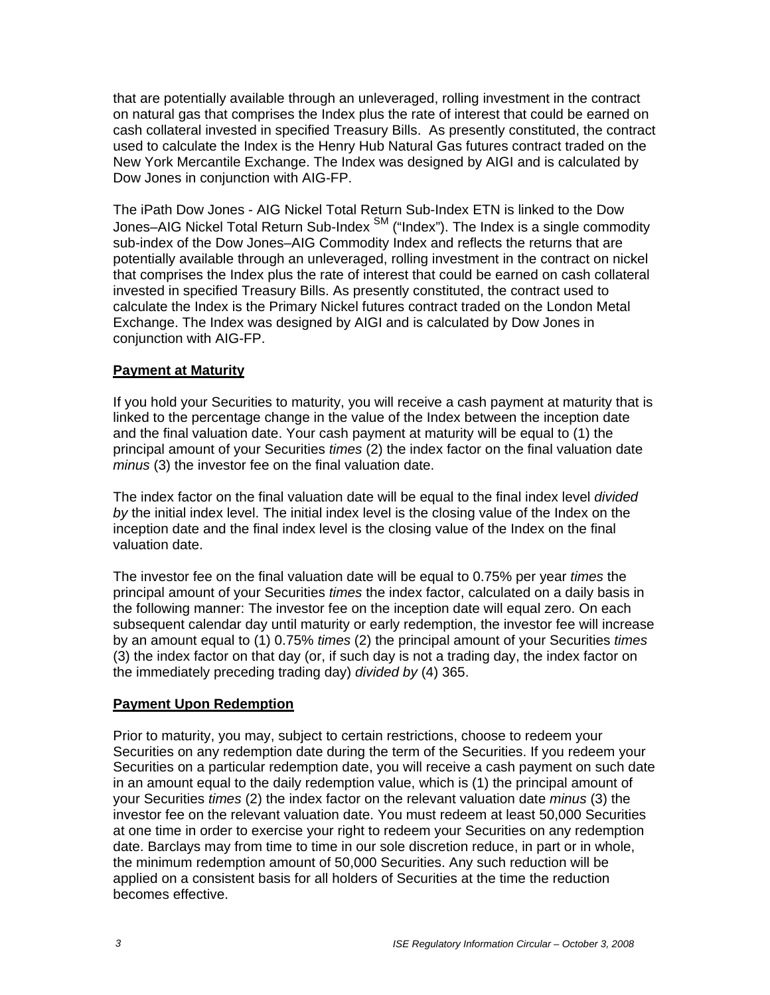that are potentially available through an unleveraged, rolling investment in the contract on natural gas that comprises the Index plus the rate of interest that could be earned on cash collateral invested in specified Treasury Bills. As presently constituted, the contract used to calculate the Index is the Henry Hub Natural Gas futures contract traded on the New York Mercantile Exchange. The Index was designed by AIGI and is calculated by Dow Jones in conjunction with AIG-FP.

The iPath Dow Jones - AIG Nickel Total Return Sub-Index ETN is linked to the Dow Jones–AIG Nickel Total Return Sub-Index<sup>SM</sup> ("Index"). The Index is a single commodity sub-index of the Dow Jones–AIG Commodity Index and reflects the returns that are potentially available through an unleveraged, rolling investment in the contract on nickel that comprises the Index plus the rate of interest that could be earned on cash collateral invested in specified Treasury Bills. As presently constituted, the contract used to calculate the Index is the Primary Nickel futures contract traded on the London Metal Exchange. The Index was designed by AIGI and is calculated by Dow Jones in conjunction with AIG-FP.

#### **Payment at Maturity**

If you hold your Securities to maturity, you will receive a cash payment at maturity that is linked to the percentage change in the value of the Index between the inception date and the final valuation date. Your cash payment at maturity will be equal to (1) the principal amount of your Securities *times* (2) the index factor on the final valuation date *minus* (3) the investor fee on the final valuation date.

The index factor on the final valuation date will be equal to the final index level *divided by* the initial index level. The initial index level is the closing value of the Index on the inception date and the final index level is the closing value of the Index on the final valuation date.

The investor fee on the final valuation date will be equal to 0.75% per year *times* the principal amount of your Securities *times* the index factor, calculated on a daily basis in the following manner: The investor fee on the inception date will equal zero. On each subsequent calendar day until maturity or early redemption, the investor fee will increase by an amount equal to (1) 0.75% *times* (2) the principal amount of your Securities *times*  (3) the index factor on that day (or, if such day is not a trading day, the index factor on the immediately preceding trading day) *divided by* (4) 365.

#### **Payment Upon Redemption**

Prior to maturity, you may, subject to certain restrictions, choose to redeem your Securities on any redemption date during the term of the Securities. If you redeem your Securities on a particular redemption date, you will receive a cash payment on such date in an amount equal to the daily redemption value, which is (1) the principal amount of your Securities *times* (2) the index factor on the relevant valuation date *minus* (3) the investor fee on the relevant valuation date. You must redeem at least 50,000 Securities at one time in order to exercise your right to redeem your Securities on any redemption date. Barclays may from time to time in our sole discretion reduce, in part or in whole, the minimum redemption amount of 50,000 Securities. Any such reduction will be applied on a consistent basis for all holders of Securities at the time the reduction becomes effective.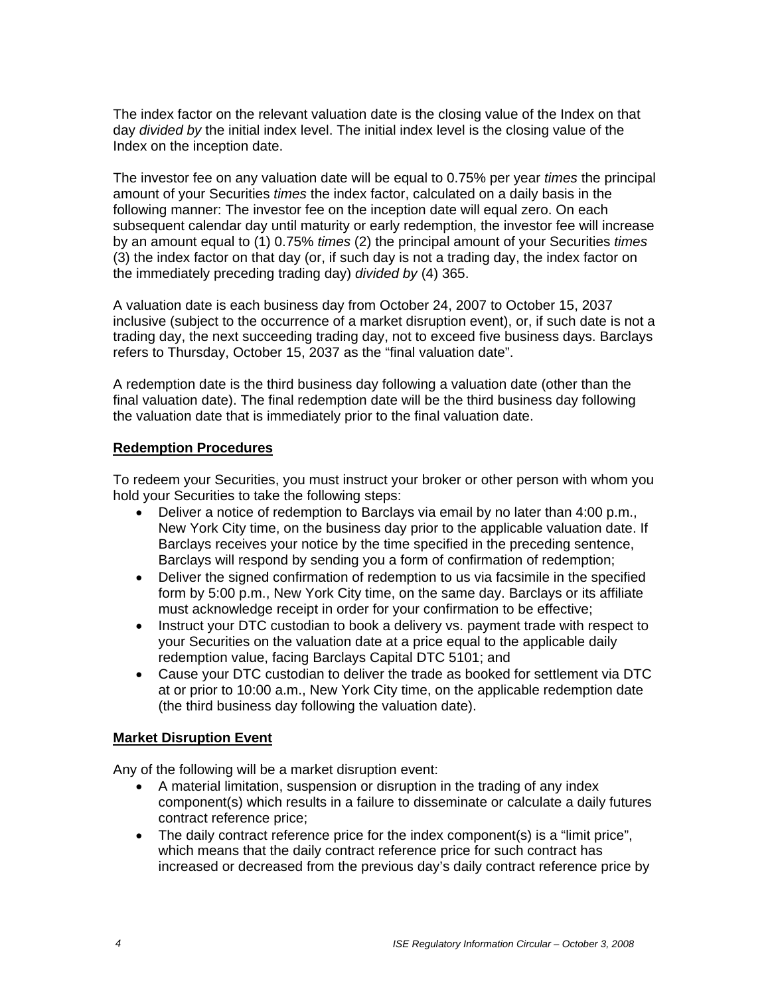The index factor on the relevant valuation date is the closing value of the Index on that day *divided by* the initial index level. The initial index level is the closing value of the Index on the inception date.

The investor fee on any valuation date will be equal to 0.75% per year *times* the principal amount of your Securities *times* the index factor, calculated on a daily basis in the following manner: The investor fee on the inception date will equal zero. On each subsequent calendar day until maturity or early redemption, the investor fee will increase by an amount equal to (1) 0.75% *times* (2) the principal amount of your Securities *times*  (3) the index factor on that day (or, if such day is not a trading day, the index factor on the immediately preceding trading day) *divided by* (4) 365.

A valuation date is each business day from October 24, 2007 to October 15, 2037 inclusive (subject to the occurrence of a market disruption event), or, if such date is not a trading day, the next succeeding trading day, not to exceed five business days. Barclays refers to Thursday, October 15, 2037 as the "final valuation date".

A redemption date is the third business day following a valuation date (other than the final valuation date). The final redemption date will be the third business day following the valuation date that is immediately prior to the final valuation date.

#### **Redemption Procedures**

To redeem your Securities, you must instruct your broker or other person with whom you hold your Securities to take the following steps:

- Deliver a notice of redemption to Barclays via email by no later than 4:00 p.m., New York City time, on the business day prior to the applicable valuation date. If Barclays receives your notice by the time specified in the preceding sentence, Barclays will respond by sending you a form of confirmation of redemption;
- Deliver the signed confirmation of redemption to us via facsimile in the specified form by 5:00 p.m., New York City time, on the same day. Barclays or its affiliate must acknowledge receipt in order for your confirmation to be effective;
- Instruct your DTC custodian to book a delivery vs. payment trade with respect to your Securities on the valuation date at a price equal to the applicable daily redemption value, facing Barclays Capital DTC 5101; and
- Cause your DTC custodian to deliver the trade as booked for settlement via DTC at or prior to 10:00 a.m., New York City time, on the applicable redemption date (the third business day following the valuation date).

#### **Market Disruption Event**

Any of the following will be a market disruption event:

- A material limitation, suspension or disruption in the trading of any index component(s) which results in a failure to disseminate or calculate a daily futures contract reference price;
- The daily contract reference price for the index component(s) is a "limit price", which means that the daily contract reference price for such contract has increased or decreased from the previous day's daily contract reference price by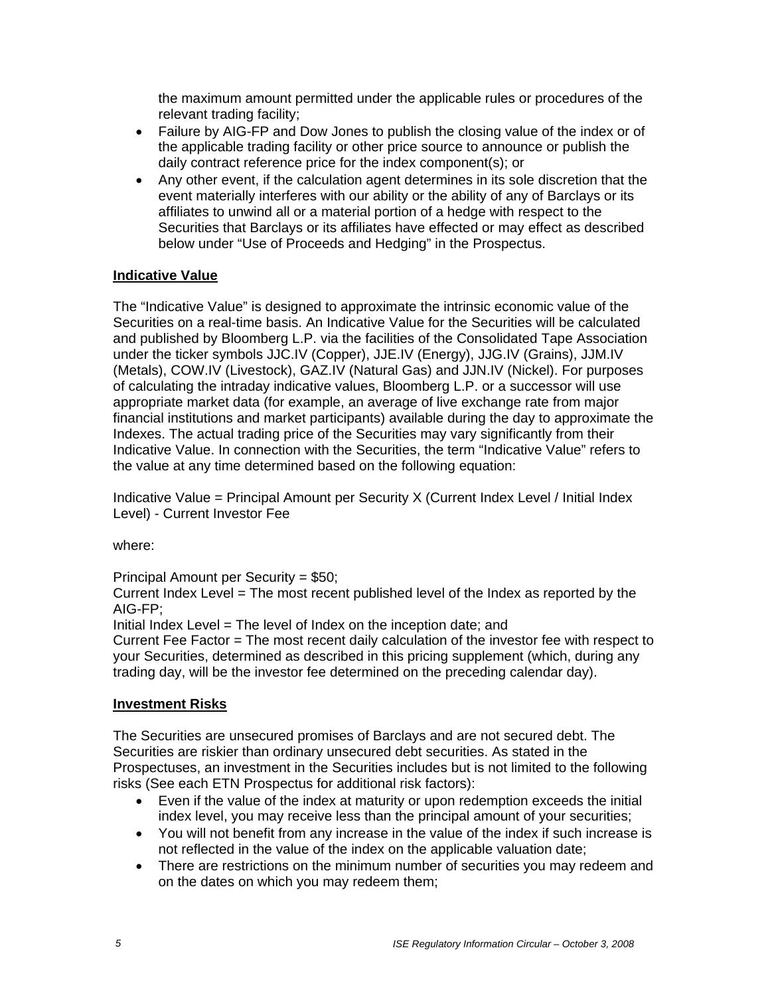the maximum amount permitted under the applicable rules or procedures of the relevant trading facility;

- Failure by AIG-FP and Dow Jones to publish the closing value of the index or of the applicable trading facility or other price source to announce or publish the daily contract reference price for the index component(s); or
- Any other event, if the calculation agent determines in its sole discretion that the event materially interferes with our ability or the ability of any of Barclays or its affiliates to unwind all or a material portion of a hedge with respect to the Securities that Barclays or its affiliates have effected or may effect as described below under "Use of Proceeds and Hedging" in the Prospectus.

#### **Indicative Value**

The "Indicative Value" is designed to approximate the intrinsic economic value of the Securities on a real-time basis. An Indicative Value for the Securities will be calculated and published by Bloomberg L.P. via the facilities of the Consolidated Tape Association under the ticker symbols JJC.IV (Copper), JJE.IV (Energy), JJG.IV (Grains), JJM.IV (Metals), COW.IV (Livestock), GAZ.IV (Natural Gas) and JJN.IV (Nickel). For purposes of calculating the intraday indicative values, Bloomberg L.P. or a successor will use appropriate market data (for example, an average of live exchange rate from major financial institutions and market participants) available during the day to approximate the Indexes. The actual trading price of the Securities may vary significantly from their Indicative Value. In connection with the Securities, the term "Indicative Value" refers to the value at any time determined based on the following equation:

Indicative Value = Principal Amount per Security X (Current Index Level / Initial Index Level) - Current Investor Fee

where:

Principal Amount per Security = \$50;

Current Index Level = The most recent published level of the Index as reported by the AIG-FP;

Initial Index Level = The level of Index on the inception date; and

Current Fee Factor = The most recent daily calculation of the investor fee with respect to your Securities, determined as described in this pricing supplement (which, during any trading day, will be the investor fee determined on the preceding calendar day).

#### **Investment Risks**

The Securities are unsecured promises of Barclays and are not secured debt. The Securities are riskier than ordinary unsecured debt securities. As stated in the Prospectuses, an investment in the Securities includes but is not limited to the following risks (See each ETN Prospectus for additional risk factors):

- Even if the value of the index at maturity or upon redemption exceeds the initial index level, you may receive less than the principal amount of your securities;
- You will not benefit from any increase in the value of the index if such increase is not reflected in the value of the index on the applicable valuation date;
- There are restrictions on the minimum number of securities you may redeem and on the dates on which you may redeem them;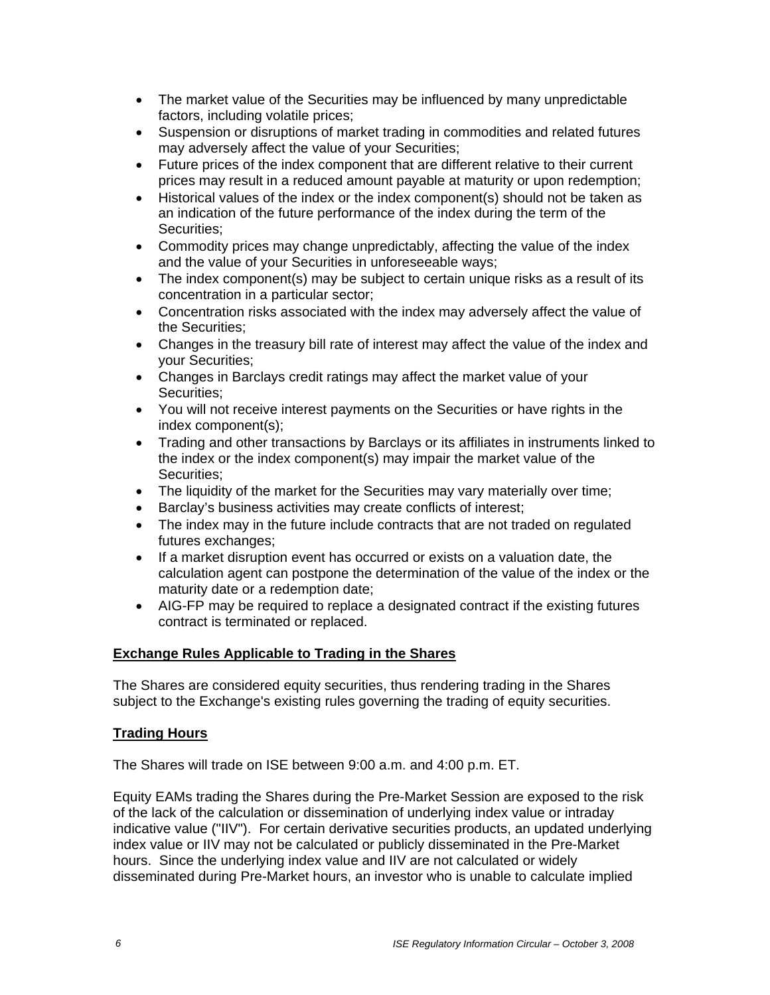- The market value of the Securities may be influenced by many unpredictable factors, including volatile prices;
- Suspension or disruptions of market trading in commodities and related futures may adversely affect the value of your Securities;
- Future prices of the index component that are different relative to their current prices may result in a reduced amount payable at maturity or upon redemption;
- Historical values of the index or the index component(s) should not be taken as an indication of the future performance of the index during the term of the Securities;
- Commodity prices may change unpredictably, affecting the value of the index and the value of your Securities in unforeseeable ways;
- The index component(s) may be subject to certain unique risks as a result of its concentration in a particular sector;
- Concentration risks associated with the index may adversely affect the value of the Securities;
- Changes in the treasury bill rate of interest may affect the value of the index and your Securities;
- Changes in Barclays credit ratings may affect the market value of your Securities;
- You will not receive interest payments on the Securities or have rights in the index component(s);
- Trading and other transactions by Barclays or its affiliates in instruments linked to the index or the index component(s) may impair the market value of the Securities;
- The liquidity of the market for the Securities may vary materially over time;
- Barclay's business activities may create conflicts of interest;
- The index may in the future include contracts that are not traded on regulated futures exchanges;
- If a market disruption event has occurred or exists on a valuation date, the calculation agent can postpone the determination of the value of the index or the maturity date or a redemption date;
- AIG-FP may be required to replace a designated contract if the existing futures contract is terminated or replaced.

#### **Exchange Rules Applicable to Trading in the Shares**

The Shares are considered equity securities, thus rendering trading in the Shares subject to the Exchange's existing rules governing the trading of equity securities.

#### **Trading Hours**

The Shares will trade on ISE between 9:00 a.m. and 4:00 p.m. ET.

Equity EAMs trading the Shares during the Pre-Market Session are exposed to the risk of the lack of the calculation or dissemination of underlying index value or intraday indicative value ("IIV"). For certain derivative securities products, an updated underlying index value or IIV may not be calculated or publicly disseminated in the Pre-Market hours. Since the underlying index value and IIV are not calculated or widely disseminated during Pre-Market hours, an investor who is unable to calculate implied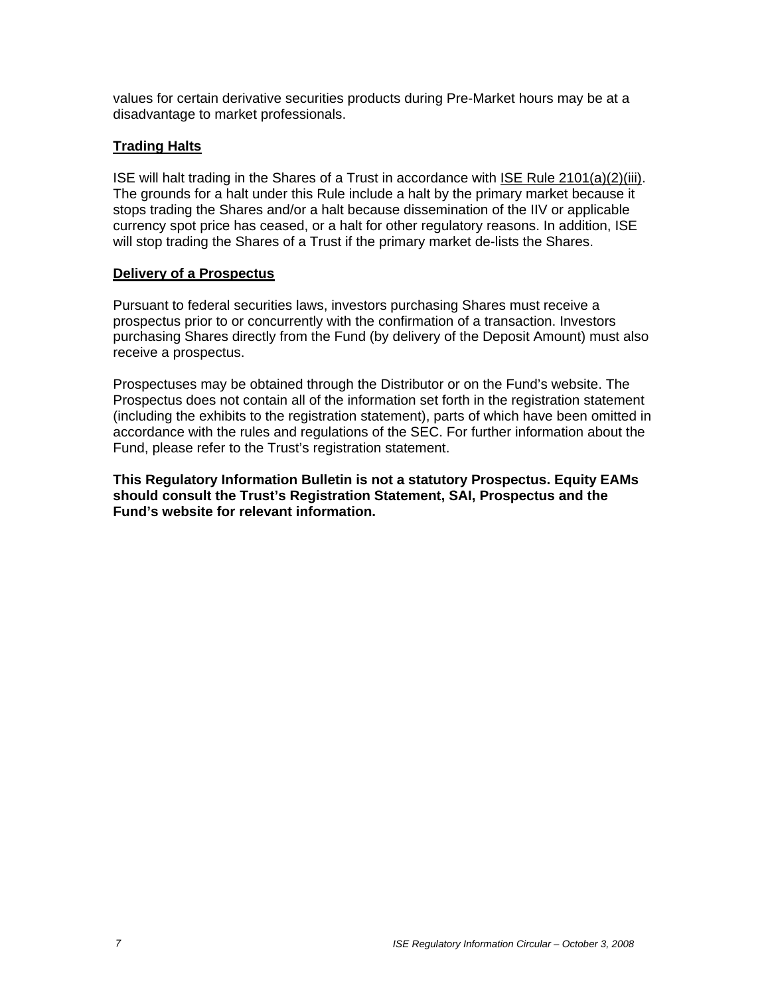values for certain derivative securities products during Pre-Market hours may be at a disadvantage to market professionals.

### **Trading Halts**

ISE will halt trading in the Shares of a Trust in accordance with ISE Rule 2101(a)(2)(iii). The grounds for a halt under this Rule include a halt by the primary market because it stops trading the Shares and/or a halt because dissemination of the IIV or applicable currency spot price has ceased, or a halt for other regulatory reasons. In addition, ISE will stop trading the Shares of a Trust if the primary market de-lists the Shares.

#### **Delivery of a Prospectus**

Pursuant to federal securities laws, investors purchasing Shares must receive a prospectus prior to or concurrently with the confirmation of a transaction. Investors purchasing Shares directly from the Fund (by delivery of the Deposit Amount) must also receive a prospectus.

Prospectuses may be obtained through the Distributor or on the Fund's website. The Prospectus does not contain all of the information set forth in the registration statement (including the exhibits to the registration statement), parts of which have been omitted in accordance with the rules and regulations of the SEC. For further information about the Fund, please refer to the Trust's registration statement.

**This Regulatory Information Bulletin is not a statutory Prospectus. Equity EAMs should consult the Trust's Registration Statement, SAI, Prospectus and the Fund's website for relevant information.**